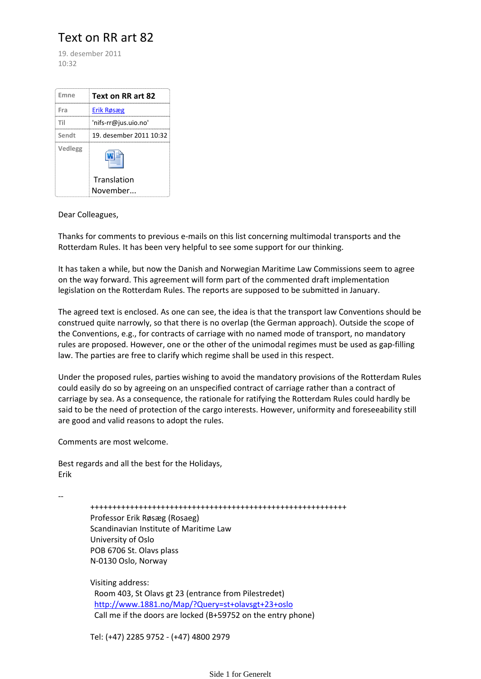## Text on RR art 82

19. desember 2011  $10.32$ 

| Emne    | Text on RR art 82       |
|---------|-------------------------|
| Fra     | Erik Røsæg              |
| Til     | 'nifs-rr@jus.uio.no'    |
| Sendt   | 19. desember 2011 10:32 |
| Vedlegg |                         |
|         | Translation<br>November |

Dear Colleagues,

Thanks for comments to previous e‐mails on this list concerning multimodal transports and the Rotterdam Rules. It has been very helpful to see some support for our thinking.

It has taken a while, but now the Danish and Norwegian Maritime Law Commissions seem to agree on the way forward. This agreement will form part of the commented draft implementation legislation on the Rotterdam Rules. The reports are supposed to be submitted in January.

The agreed text is enclosed. As one can see, the idea is that the transport law Conventions should be construed quite narrowly, so that there is no overlap (the German approach). Outside the scope of the Conventions, e.g., for contracts of carriage with no named mode of transport, no mandatory rules are proposed. However, one or the other of the unimodal regimes must be used as gap-filling law. The parties are free to clarify which regime shall be used in this respect.

Under the proposed rules, parties wishing to avoid the mandatory provisions of the Rotterdam Rules could easily do so by agreeing on an unspecified contract of carriage rather than a contract of carriage by sea. As a consequence, the rationale for ratifying the Rotterdam Rules could hardly be said to be the need of protection of the cargo interests. However, uniformity and foreseeability still are good and valid reasons to adopt the rules.

Comments are most welcome.

Best regards and all the best for the Holidays, Erik

‐‐

 ++++++++++++++++++++++++++++++++++++++++++++++++++++++++++ Professor Erik Røsæg (Rosaeg) Scandinavian Institute of Maritime Law University of Oslo POB 6706 St. Olavs plass N‐0130 Oslo, Norway

 Visiting address: Room 403, St Olavs gt 23 (entrance from Pilestredet) http://www.1881.no/Map/?Query=st+olavsgt+23+oslo Call me if the doors are locked (B+59752 on the entry phone)

Tel: (+47) 2285 9752 ‐ (+47) 4800 2979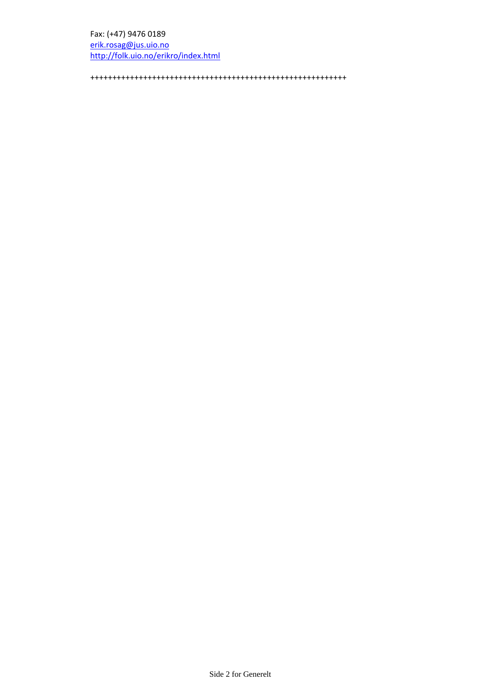## Fax: (+47) 9476 0189

 erik.rosag@jus.uio.no http://folk.uio.no/erikro/index.html

++++++++++++++++++++++++++++++++++++++++++++++++++++++++++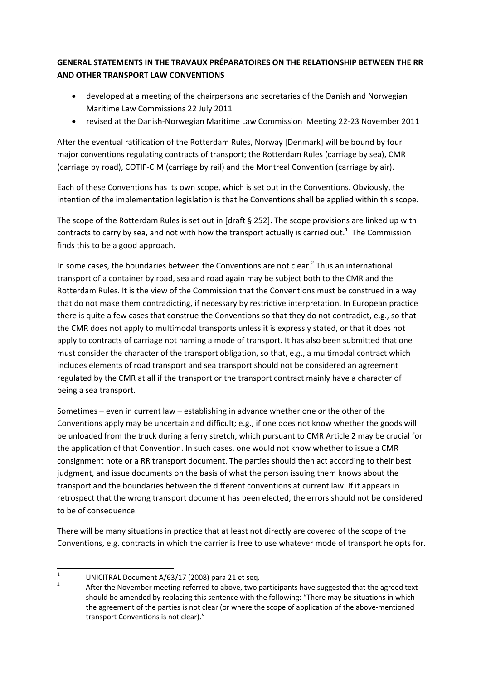## **GENERAL STATEMENTS IN THE TRAVAUX PRÉPARATOIRES ON THE RELATIONSHIP BETWEEN THE RR AND OTHER TRANSPORT LAW CONVENTIONS**

- developed at a meeting of the chairpersons and secretaries of the Danish and Norwegian Maritime Law Commissions 22 July 2011
- revised at the Danish‐Norwegian Maritime Law Commission Meeting 22‐23 November 2011

After the eventual ratification of the Rotterdam Rules, Norway [Denmark] will be bound by four major conventions regulating contracts of transport; the Rotterdam Rules (carriage by sea), CMR (carriage by road), COTIF‐CIM (carriage by rail) and the Montreal Convention (carriage by air).

Each of these Conventions has its own scope, which is set out in the Conventions. Obviously, the intention of the implementation legislation is that he Conventions shall be applied within this scope.

The scope of the Rotterdam Rules is set out in [draft § 252]. The scope provisions are linked up with contracts to carry by sea, and not with how the transport actually is carried out.<sup>1</sup> The Commission finds this to be a good approach.

In some cases, the boundaries between the Conventions are not clear. $2$  Thus an international transport of a container by road, sea and road again may be subject both to the CMR and the Rotterdam Rules. It is the view of the Commission that the Conventions must be construed in a way that do not make them contradicting, if necessary by restrictive interpretation. In European practice there is quite a few cases that construe the Conventions so that they do not contradict, e.g., so that the CMR does not apply to multimodal transports unless it is expressly stated, or that it does not apply to contracts of carriage not naming a mode of transport. It has also been submitted that one must consider the character of the transport obligation, so that, e.g., a multimodal contract which includes elements of road transport and sea transport should not be considered an agreement regulated by the CMR at all if the transport or the transport contract mainly have a character of being a sea transport.

Sometimes – even in current law – establishing in advance whether one or the other of the Conventions apply may be uncertain and difficult; e.g., if one does not know whether the goods will be unloaded from the truck during a ferry stretch, which pursuant to CMR Article 2 may be crucial for the application of that Convention. In such cases, one would not know whether to issue a CMR consignment note or a RR transport document. The parties should then act according to their best judgment, and issue documents on the basis of what the person issuing them knows about the transport and the boundaries between the different conventions at current law. If it appears in retrospect that the wrong transport document has been elected, the errors should not be considered to be of consequence.

There will be many situations in practice that at least not directly are covered of the scope of the Conventions, e.g. contracts in which the carrier is free to use whatever mode of transport he opts for.

<sup>1</sup> UNICITRAL Document A/63/17 (2008) para 21 et seq.

 After the November meeting referred to above, two participants have suggested that the agreed text should be amended by replacing this sentence with the following: "There may be situations in which the agreement of the parties is not clear (or where the scope of application of the above-mentioned transport Conventions is not clear)."